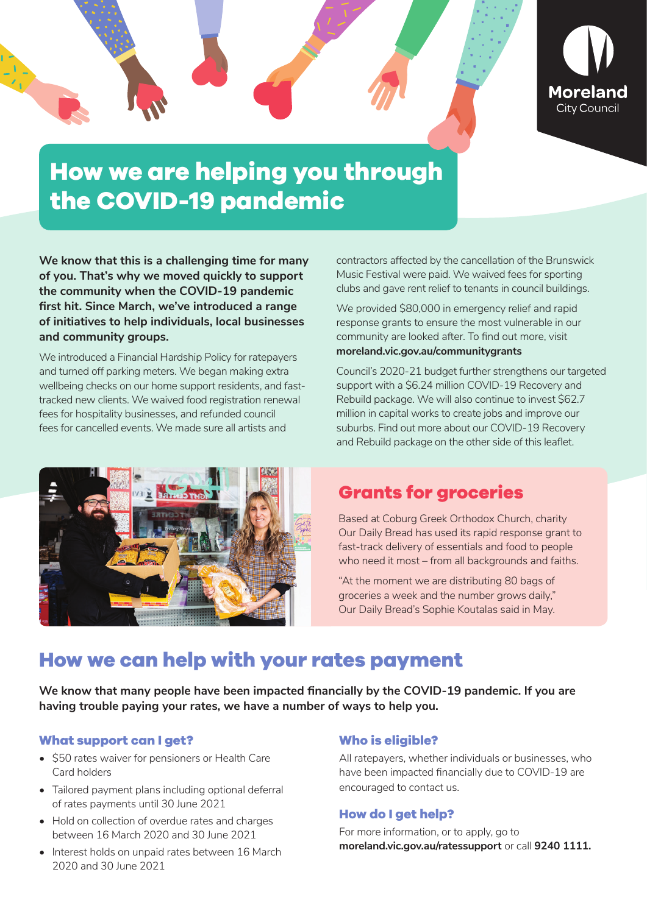

# **How we are helping you through the COVID-19 pandemic**

**We know that this is a challenging time for many of you. That's why we moved quickly to support the community when the COVID-19 pandemic first hit. Since March, we've introduced a range of initiatives to help individuals, local businesses and community groups.** 

We introduced a Financial Hardship Policy for ratepayers and turned off parking meters. We began making extra wellbeing checks on our home support residents, and fasttracked new clients. We waived food registration renewal fees for hospitality businesses, and refunded council fees for cancelled events. We made sure all artists and



contractors affected by the cancellation of the Brunswick Music Festival were paid. We waived fees for sporting clubs and gave rent relief to tenants in council buildings.

We provided \$80,000 in emergency relief and rapid response grants to ensure the most vulnerable in our community are looked after. To find out more, visit **moreland.vic.gov.au/communitygrants** 

Council's 2020-21 budget further strengthens our targeted support with a \$6.24 million COVID-19 Recovery and Rebuild package. We will also continue to invest \$62.7 million in capital works to create jobs and improve our suburbs. Find out more about our COVID-19 Recovery and Rebuild package on the other side of this leaflet.

### **Grants for groceries**

Based at Coburg Greek Orthodox Church, charity Our Daily Bread has used its rapid response grant to fast-track delivery of essentials and food to people who need it most – from all backgrounds and faiths.

"At the moment we are distributing 80 bags of groceries a week and the number grows daily," Our Daily Bread's Sophie Koutalas said in May.

# **How we can help with your rates payment**

**We know that many people have been impacted financially by the COVID-19 pandemic. If you are having trouble paying your rates, we have a number of ways to help you.**

#### **What support can I get?**

- \$50 rates waiver for pensioners or Health Care Card holders
- Tailored payment plans including optional deferral of rates payments until 30 June 2021
- Hold on collection of overdue rates and charges between 16 March 2020 and 30 June 2021
- Interest holds on unpaid rates between 16 March 2020 and 30 June 2021

#### **Who is eligible?**

All ratepayers, whether individuals or businesses, who have been impacted financially due to COVID-19 are encouraged to contact us.

#### **How do I get help?**

For more information, or to apply, go to **moreland.vic.gov.au/ratessupport** or call **9240 1111.**